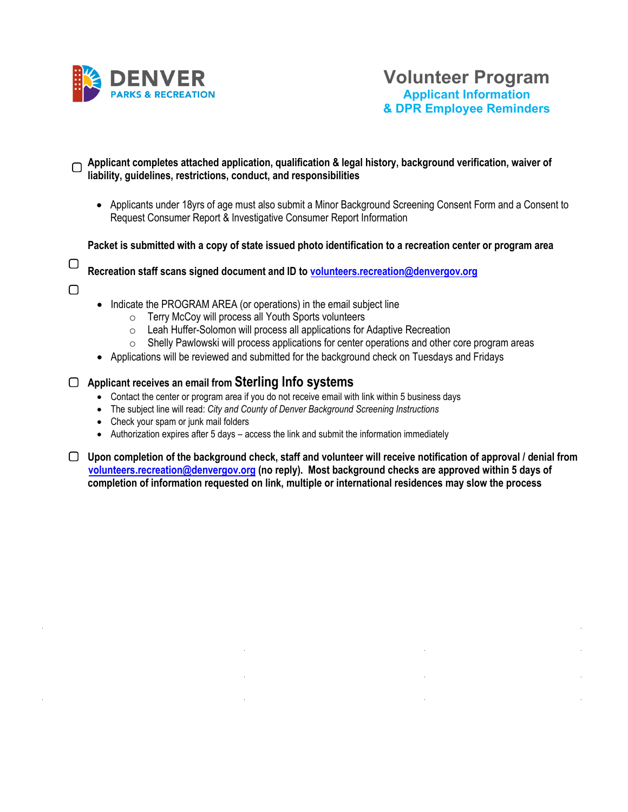

## **Applicant completes attached application, qualification & legal history, background verification, waiver of liability, guidelines, restrictions, conduct, and responsibilities**

• Applicants under 18yrs of age must also submit a Minor Background Screening Consent Form and a Consent to Request Consumer Report & Investigative Consumer Report Information

**Packet is submitted with a copy of state issued photo identification to a recreation center or program area**

О

- **Recreation staff scans signed document and ID to volunteers.recreation@denvergov.org**
- $\bigcap$
- Indicate the PROGRAM AREA (or operations) in the email subject line
	- o Terry McCoy will process all Youth Sports volunteers
	- o Leah Huffer-Solomon will process all applications for Adaptive Recreation
	- $\circ$  Shelly Pawlowski will process applications for center operations and other core program areas
- Applications will be reviewed and submitted for the background check on Tuesdays and Fridays

## **Applicant receives an email from Sterling Info systems**

- Contact the center or program area if you do not receive email with link within 5 business days
- The subject line will read: *City and County of Denver Background Screening Instructions*
- Check your spam or junk mail folders
- Authorization expires after 5 days access the link and submit the information immediately
- **Upon completion of the background check, staff and volunteer will receive notification of approval / denial from [volunteers.recreation@denvergov.org](mailto:volunteers.recreation@denvergov.org) (no reply). Most background checks are approved within 5 days of completion of information requested on link, multiple or international residences may slow the process**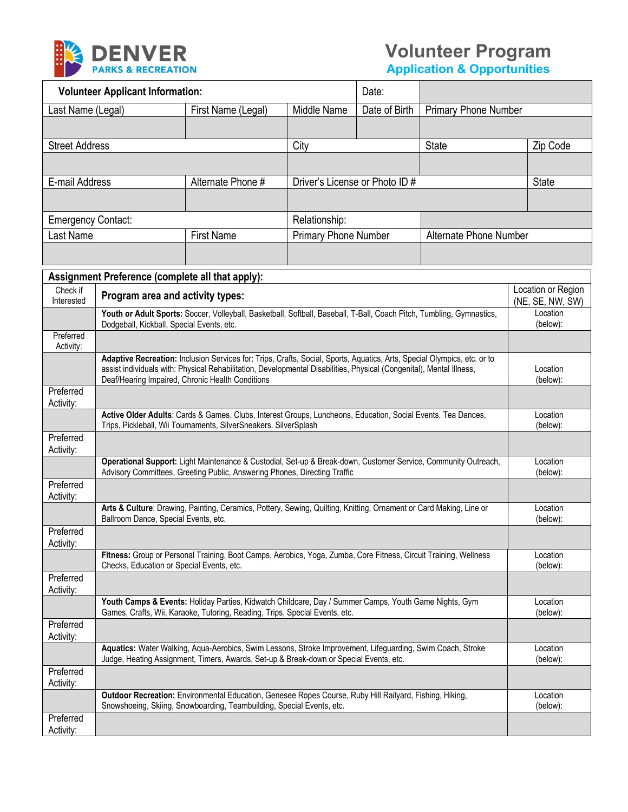

# **Volunteer Program**

**Application & Opportunities**

| <b>Volunteer Applicant Information:</b>          |                    |                                | Date:         |                             |                    |  |
|--------------------------------------------------|--------------------|--------------------------------|---------------|-----------------------------|--------------------|--|
| Last Name (Legal)                                | First Name (Legal) | Middle Name                    | Date of Birth | <b>Primary Phone Number</b> |                    |  |
|                                                  |                    |                                |               |                             |                    |  |
| <b>Street Address</b>                            |                    | City                           |               | <b>State</b>                | Zip Code           |  |
|                                                  |                    |                                |               |                             |                    |  |
| E-mail Address                                   | Alternate Phone #  | Driver's License or Photo ID # |               | <b>State</b>                |                    |  |
|                                                  |                    |                                |               |                             |                    |  |
| <b>Emergency Contact:</b>                        |                    | Relationship:                  |               |                             |                    |  |
| Last Name                                        | <b>First Name</b>  | <b>Primary Phone Number</b>    |               | Alternate Phone Number      |                    |  |
|                                                  |                    |                                |               |                             |                    |  |
| Assignment Preference (complete all that apply): |                    |                                |               |                             |                    |  |
| Check if<br>Dragram area and astivity types      |                    |                                |               |                             | Location or Region |  |

| Check if<br>Interested | Program area and activity types:                                                                                                                                                                                                                                                                     | Location or Region<br>(NE, SE, NW, SW) |
|------------------------|------------------------------------------------------------------------------------------------------------------------------------------------------------------------------------------------------------------------------------------------------------------------------------------------------|----------------------------------------|
|                        | Youth or Adult Sports: Soccer, Volleyball, Basketball, Softball, Baseball, T-Ball, Coach Pitch, Tumbling, Gymnastics,<br>Dodgeball, Kickball, Special Events, etc.                                                                                                                                   | Location<br>(below):                   |
| Preferred<br>Activity: |                                                                                                                                                                                                                                                                                                      |                                        |
|                        | Adaptive Recreation: Inclusion Services for: Trips, Crafts, Social, Sports, Aquatics, Arts, Special Olympics, etc. or to<br>assist individuals with: Physical Rehabilitation, Developmental Disabilities, Physical (Congenital), Mental Illness,<br>Deaf/Hearing Impaired, Chronic Health Conditions | Location<br>(below):                   |
| Preferred<br>Activity: |                                                                                                                                                                                                                                                                                                      |                                        |
|                        | Active Older Adults: Cards & Games, Clubs, Interest Groups, Luncheons, Education, Social Events, Tea Dances,<br>Trips, Pickleball, Wii Tournaments, SilverSneakers. SilverSplash                                                                                                                     | Location<br>(below):                   |
| Preferred<br>Activity: |                                                                                                                                                                                                                                                                                                      |                                        |
|                        | Operational Support: Light Maintenance & Custodial, Set-up & Break-down, Customer Service, Community Outreach,<br>Advisory Committees, Greeting Public, Answering Phones, Directing Traffic                                                                                                          | Location<br>(below):                   |
| Preferred<br>Activity: |                                                                                                                                                                                                                                                                                                      |                                        |
|                        | Arts & Culture: Drawing, Painting, Ceramics, Pottery, Sewing, Quilting, Knitting, Ornament or Card Making, Line or<br>Ballroom Dance, Special Events, etc.                                                                                                                                           | Location<br>(below):                   |
| Preferred<br>Activity: |                                                                                                                                                                                                                                                                                                      |                                        |
|                        | Fitness: Group or Personal Training, Boot Camps, Aerobics, Yoga, Zumba, Core Fitness, Circuit Training, Wellness<br>Checks, Education or Special Events, etc.                                                                                                                                        | Location<br>(below):                   |
| Preferred<br>Activity: |                                                                                                                                                                                                                                                                                                      |                                        |
|                        | Youth Camps & Events: Holiday Parties, Kidwatch Childcare, Day / Summer Camps, Youth Game Nights, Gym<br>Games, Crafts, Wii, Karaoke, Tutoring, Reading, Trips, Special Events, etc.                                                                                                                 | Location<br>(below):                   |
| Preferred<br>Activity: |                                                                                                                                                                                                                                                                                                      |                                        |
|                        | Aquatics: Water Walking, Aqua-Aerobics, Swim Lessons, Stroke Improvement, Lifeguarding, Swim Coach, Stroke<br>Judge, Heating Assignment, Timers, Awards, Set-up & Break-down or Special Events, etc.                                                                                                 | Location<br>(below):                   |
| Preferred<br>Activity: |                                                                                                                                                                                                                                                                                                      |                                        |
|                        | Outdoor Recreation: Environmental Education, Genesee Ropes Course, Ruby Hill Railyard, Fishing, Hiking,<br>Snowshoeing, Skiing, Snowboarding, Teambuilding, Special Events, etc.                                                                                                                     | Location<br>(below):                   |
| Preferred<br>Activity: |                                                                                                                                                                                                                                                                                                      |                                        |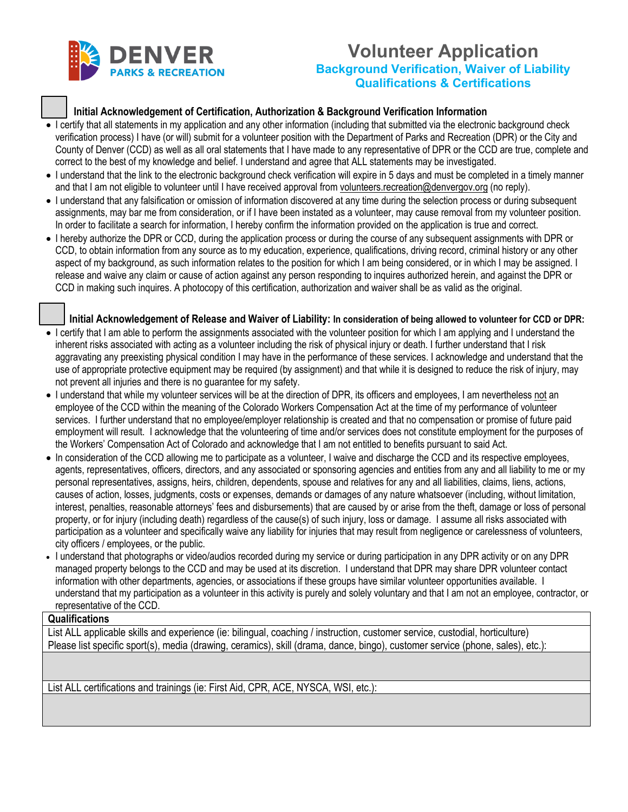

# **Volunteer Application Background Verification, Waiver of Liability Qualifications & Certifications**

### **Initial Acknowledgement of Certification, Authorization & Background Verification Information**

- I certify that all statements in my application and any other information (including that submitted via the electronic background check verification process) I have (or will) submit for a volunteer position with the Department of Parks and Recreation (DPR) or the City and County of Denver (CCD) as well as all oral statements that I have made to any representative of DPR or the CCD are true, complete and correct to the best of my knowledge and belief. I understand and agree that ALL statements may be investigated.
- I understand that the link to the electronic background check verification will expire in 5 days and must be completed in a timely manner and that I am not eligible to volunteer until I have received approval fro[m volunteers.recreation@denvergov.org](mailto:volunteers.recreation@denvergov.org) (no reply).
- I understand that any falsification or omission of information discovered at any time during the selection process or during subsequent assignments, may bar me from consideration, or if I have been instated as a volunteer, may cause removal from my volunteer position. In order to facilitate a search for information, I hereby confirm the information provided on the application is true and correct.
- I hereby authorize the DPR or CCD, during the application process or during the course of any subsequent assignments with DPR or CCD, to obtain information from any source as to my education, experience, qualifications, driving record, criminal history or any other aspect of my background, as such information relates to the position for which I am being considered, or in which I may be assigned. I release and waive any claim or cause of action against any person responding to inquires authorized herein, and against the DPR or CCD in making such inquires. A photocopy of this certification, authorization and waiver shall be as valid as the original.

#### **Initial Acknowledgement of Release and Waiver of Liability: In consideration of being allowed to volunteer for CCD or DPR:**

- I certify that I am able to perform the assignments associated with the volunteer position for which I am applying and I understand the inherent risks associated with acting as a volunteer including the risk of physical injury or death. I further understand that I risk aggravating any preexisting physical condition I may have in the performance of these services. I acknowledge and understand that the use of appropriate protective equipment may be required (by assignment) and that while it is designed to reduce the risk of injury, may not prevent all injuries and there is no guarantee for my safety.
- I understand that while my volunteer services will be at the direction of DPR, its officers and employees, I am nevertheless not an employee of the CCD within the meaning of the Colorado Workers Compensation Act at the time of my performance of volunteer services. I further understand that no employee/employer relationship is created and that no compensation or promise of future paid employment will result. I acknowledge that the volunteering of time and/or services does not constitute employment for the purposes of the Workers' Compensation Act of Colorado and acknowledge that I am not entitled to benefits pursuant to said Act.
- In consideration of the CCD allowing me to participate as a volunteer, I waive and discharge the CCD and its respective employees, agents, representatives, officers, directors, and any associated or sponsoring agencies and entities from any and all liability to me or my personal representatives, assigns, heirs, children, dependents, spouse and relatives for any and all liabilities, claims, liens, actions, causes of action, losses, judgments, costs or expenses, demands or damages of any nature whatsoever (including, without limitation, interest, penalties, reasonable attorneys' fees and disbursements) that are caused by or arise from the theft, damage or loss of personal property, or for injury (including death) regardless of the cause(s) of such injury, loss or damage. I assume all risks associated with participation as a volunteer and specifically waive any liability for injuries that may result from negligence or carelessness of volunteers, city officers / employees, or the public.
- I understand that photographs or video/audios recorded during my service or during participation in any DPR activity or on any DPR managed property belongs to the CCD and may be used at its discretion. I understand that DPR may share DPR volunteer contact information with other departments, agencies, or associations if these groups have similar volunteer opportunities available. I understand that my participation as a volunteer in this activity is purely and solely voluntary and that I am not an employee, contractor, or representative of the CCD.

#### **Qualifications**

List ALL applicable skills and experience (ie: bilingual, coaching / instruction, customer service, custodial, horticulture) Please list specific sport(s), media (drawing, ceramics), skill (drama, dance, bingo), customer service (phone, sales), etc.):

List ALL certifications and trainings (ie: First Aid, CPR, ACE, NYSCA, WSI, etc.):